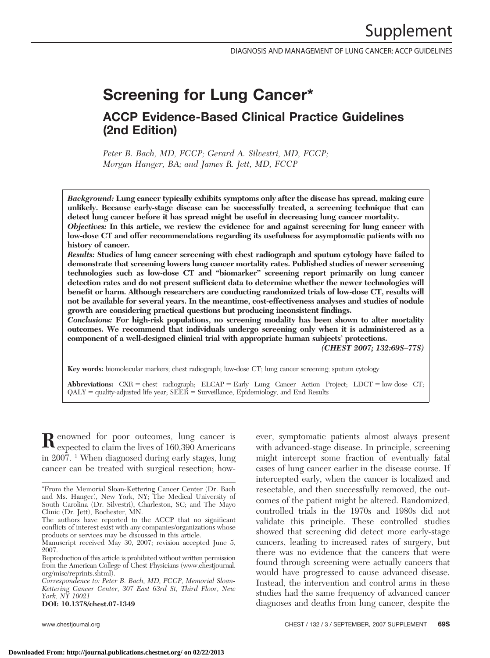# **Screening for Lung Cancer\* ACCP Evidence-Based Clinical Practice Guidelines (2nd Edition)**

*Peter B. Bach, MD, FCCP; Gerard A. Silvestri, MD, FCCP; Morgan Hanger, BA; and James R. Jett, MD, FCCP*

*Background:* **Lung cancer typically exhibits symptoms only after the disease has spread, making cure unlikely. Because early-stage disease can be successfully treated, a screening technique that can detect lung cancer before it has spread might be useful in decreasing lung cancer mortality.**

*Objectives:* **In this article, we review the evidence for and against screening for lung cancer with low-dose CT and offer recommendations regarding its usefulness for asymptomatic patients with no history of cancer.**

*Results:* **Studies of lung cancer screening with chest radiograph and sputum cytology have failed to demonstrate that screening lowers lung cancer mortality rates. Published studies of newer screening technologies such as low-dose CT and "biomarker" screening report primarily on lung cancer detection rates and do not present sufficient data to determine whether the newer technologies will benefit or harm. Although researchers are conducting randomized trials of low-dose CT, results will not be available for several years. In the meantime, cost-effectiveness analyses and studies of nodule growth are considering practical questions but producing inconsistent findings.**

*Conclusions:* **For high-risk populations, no screening modality has been shown to alter mortality outcomes. We recommend that individuals undergo screening only when it is administered as a component of a well-designed clinical trial with appropriate human subjects' protections.**

*(CHEST 2007; 132:69S–77S)*

ever, symptomatic patients almost always present with advanced-stage disease. In principle, screening might intercept some fraction of eventually fatal cases of lung cancer earlier in the disease course. If intercepted early, when the cancer is localized and resectable, and then successfully removed, the outcomes of the patient might be altered. Randomized, controlled trials in the 1970s and 1980s did not validate this principle. These controlled studies showed that screening did detect more early-stage cancers, leading to increased rates of surgery, but there was no evidence that the cancers that were found through screening were actually cancers that would have progressed to cause advanced disease. Instead, the intervention and control arms in these studies had the same frequency of advanced cancer diagnoses and deaths from lung cancer, despite the

**Key words:** biomolecular markers; chest radiograph; low-dose CT; lung cancer screening; sputum cytology

Abbreviations: CXR = chest radiograph; ELCAP = Early Lung Cancer Action Project; LDCT = low-dose CT;  $QALY =$  quality-adjusted life year;  $SEER =$  Surveillance, Epidemiology, and End Results

**R**enowned for poor outcomes, lung cancer is expected to claim the lives of 160,390 Americans in 2007. <sup>1</sup> When diagnosed during early stages, lung cancer can be treated with surgical resection; how-

<sup>\*</sup>From the Memorial Sloan-Kettering Cancer Center (Dr. Bach and Ms. Hanger), New York, NY; The Medical University of South Carolina (Dr. Silvestri), Charleston, SC; and The Mayo Clinic (Dr. Jett), Rochester, MN.

The authors have reported to the ACCP that no significant conflicts of interest exist with any companies/organizations whose products or services may be discussed in this article.

Manuscript received May 30, 2007; revision accepted June 5, 2007.

Reproduction of this article is prohibited without written permission from the American College of Chest Physicians (www.chestjournal. org/misc/reprints.shtml).

*Correspondence to: Peter B. Bach, MD, FCCP, Memorial Sloan-Kettering Cancer Center, 307 East 63rd St, Third Floor, New York, NY 10021* **DOI: 10.1378/chest.07-1349**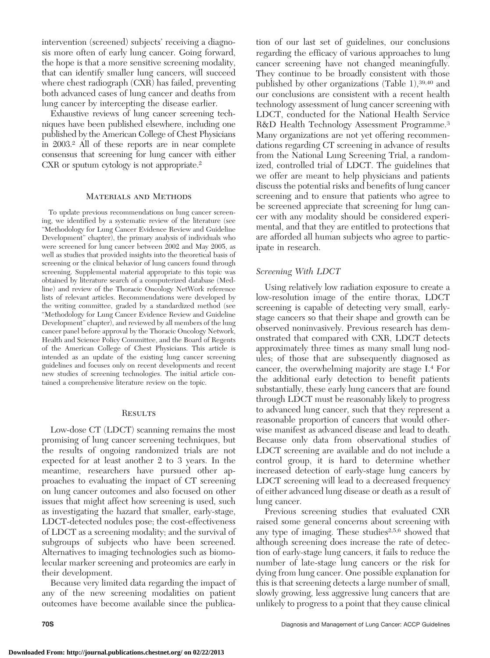intervention (screened) subjects' receiving a diagnosis more often of early lung cancer. Going forward, the hope is that a more sensitive screening modality, that can identify smaller lung cancers, will succeed where chest radiograph (CXR) has failed, preventing both advanced cases of lung cancer and deaths from lung cancer by intercepting the disease earlier.

Exhaustive reviews of lung cancer screening techniques have been published elsewhere, including one published by the American College of Chest Physicians in 2003.2 All of these reports are in near complete consensus that screening for lung cancer with either CXR or sputum cytology is not appropriate.<sup>2</sup>

#### Materials and Methods

To update previous recommendations on lung cancer screening, we identified by a systematic review of the literature (see "Methodology for Lung Cancer Evidence Review and Guideline Development" chapter), the primary analysis of individuals who were screened for lung cancer between 2002 and May 2005, as well as studies that provided insights into the theoretical basis of screening or the clinical behavior of lung cancers found through screening. Supplemental material appropriate to this topic was obtained by literature search of a computerized database (Medline) and review of the Thoracic Oncology NetWork reference lists of relevant articles. Recommendations were developed by the writing committee, graded by a standardized method (see "Methodology for Lung Cancer Evidence Review and Guideline Development" chapter), and reviewed by all members of the lung cancer panel before approval by the Thoracic Oncology Network, Health and Science Policy Committee, and the Board of Regents of the American College of Chest Physicians. This article is intended as an update of the existing lung cancer screening guidelines and focuses only on recent developments and recent new studies of screening technologies. The initial article contained a comprehensive literature review on the topic.

#### **RESULTS**

Low-dose CT (LDCT) scanning remains the most promising of lung cancer screening techniques, but the results of ongoing randomized trials are not expected for at least another 2 to 3 years. In the meantime, researchers have pursued other approaches to evaluating the impact of CT screening on lung cancer outcomes and also focused on other issues that might affect how screening is used, such as investigating the hazard that smaller, early-stage, LDCT-detected nodules pose; the cost-effectiveness of LDCT as a screening modality; and the survival of subgroups of subjects who have been screened. Alternatives to imaging technologies such as biomolecular marker screening and proteomics are early in their development.

Because very limited data regarding the impact of any of the new screening modalities on patient outcomes have become available since the publication of our last set of guidelines, our conclusions regarding the efficacy of various approaches to lung cancer screening have not changed meaningfully. They continue to be broadly consistent with those published by other organizations (Table 1),39,40 and our conclusions are consistent with a recent health technology assessment of lung cancer screening with LDCT, conducted for the National Health Service R&D Health Technology Assessment Programme.3 Many organizations are not yet offering recommendations regarding CT screening in advance of results from the National Lung Screening Trial, a randomized, controlled trial of LDCT. The guidelines that we offer are meant to help physicians and patients discuss the potential risks and benefits of lung cancer screening and to ensure that patients who agree to be screened appreciate that screening for lung cancer with any modality should be considered experimental, and that they are entitled to protections that are afforded all human subjects who agree to participate in research.

## *Screening With LDCT*

Using relatively low radiation exposure to create a low-resolution image of the entire thorax, LDCT screening is capable of detecting very small, earlystage cancers so that their shape and growth can be observed noninvasively. Previous research has demonstrated that compared with CXR, LDCT detects approximately three times as many small lung nodules; of those that are subsequently diagnosed as cancer, the overwhelming majority are stage I.4 For the additional early detection to benefit patients substantially, these early lung cancers that are found through LDCT must be reasonably likely to progress to advanced lung cancer, such that they represent a reasonable proportion of cancers that would otherwise manifest as advanced disease and lead to death. Because only data from observational studies of LDCT screening are available and do not include a control group, it is hard to determine whether increased detection of early-stage lung cancers by LDCT screening will lead to a decreased frequency of either advanced lung disease or death as a result of lung cancer.

Previous screening studies that evaluated CXR raised some general concerns about screening with any type of imaging. These studies $2,5,6$  showed that although screening does increase the rate of detection of early-stage lung cancers, it fails to reduce the number of late-stage lung cancers or the risk for dying from lung cancer. One possible explanation for this is that screening detects a large number of small, slowly growing, less aggressive lung cancers that are unlikely to progress to a point that they cause clinical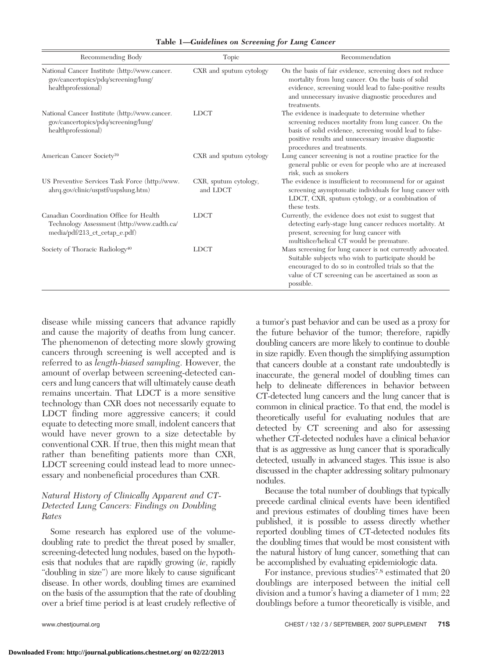**Table 1—***Guidelines on Screening for Lung Cancer*

| Recommending Body                                                                                                       | Topic                             | Recommendation                                                                                                                                                                                                                                           |
|-------------------------------------------------------------------------------------------------------------------------|-----------------------------------|----------------------------------------------------------------------------------------------------------------------------------------------------------------------------------------------------------------------------------------------------------|
| National Cancer Institute (http://www.cancer.<br>gov/cancertopics/pdq/screening/lung/<br>healthprofessional)            | CXR and sputum cytology           | On the basis of fair evidence, screening does not reduce<br>mortality from lung cancer. On the basis of solid<br>evidence, screening would lead to false-positive results<br>and unnecessary invasive diagnostic procedures and<br>treatments.           |
| National Cancer Institute (http://www.cancer.<br>gov/cancertopics/pdq/screening/lung/<br>healthprofessional)            | <b>LDCT</b>                       | The evidence is inadequate to determine whether<br>screening reduces mortality from lung cancer. On the<br>basis of solid evidence, screening would lead to false-<br>positive results and unnecessary invasive diagnostic<br>procedures and treatments. |
| American Cancer Society <sup>39</sup>                                                                                   | CXR and sputum cytology           | Lung cancer screening is not a routine practice for the<br>general public or even for people who are at increased<br>risk, such as smokers                                                                                                               |
| US Preventive Services Task Force (http://www.<br>ahrq.gov/clinic/uspstf/uspslung.htm)                                  | CXR, sputum cytology,<br>and LDCT | The evidence is insufficient to recommend for or against<br>screening asymptomatic individuals for lung cancer with<br>LDCT, CXR, sputum cytology, or a combination of<br>these tests.                                                                   |
| Canadian Coordination Office for Health<br>Technology Assessment (http://www.cadth.ca/<br>media/pdf/213_ct_cetap_e.pdf) | <b>LDCT</b>                       | Currently, the evidence does not exist to suggest that<br>detecting early-stage lung cancer reduces mortality. At<br>present, screening for lung cancer with<br>multislice/helical CT would be premature.                                                |
| Society of Thoracic Radiology <sup>40</sup>                                                                             | <b>LDCT</b>                       | Mass screening for lung cancer is not currently advocated.<br>Suitable subjects who wish to participate should be<br>encouraged to do so in controlled trials so that the<br>value of CT screening can be ascertained as soon as<br>possible.            |

disease while missing cancers that advance rapidly and cause the majority of deaths from lung cancer. The phenomenon of detecting more slowly growing cancers through screening is well accepted and is referred to as *length-biased sampling*. However, the amount of overlap between screening-detected cancers and lung cancers that will ultimately cause death remains uncertain. That LDCT is a more sensitive technology than CXR does not necessarily equate to LDCT finding more aggressive cancers; it could equate to detecting more small, indolent cancers that would have never grown to a size detectable by conventional CXR. If true, then this might mean that rather than benefiting patients more than CXR, LDCT screening could instead lead to more unnecessary and nonbeneficial procedures than CXR.

# *Natural History of Clinically Apparent and CT-Detected Lung Cancers: Findings on Doubling Rates*

Some research has explored use of the volumedoubling rate to predict the threat posed by smaller, screening-detected lung nodules, based on the hypothesis that nodules that are rapidly growing (*ie*, rapidly "doubling in size") are more likely to cause significant disease. In other words, doubling times are examined on the basis of the assumption that the rate of doubling over a brief time period is at least crudely reflective of a tumor's past behavior and can be used as a proxy for the future behavior of the tumor; therefore, rapidly doubling cancers are more likely to continue to double in size rapidly. Even though the simplifying assumption that cancers double at a constant rate undoubtedly is inaccurate, the general model of doubling times can help to delineate differences in behavior between CT-detected lung cancers and the lung cancer that is common in clinical practice. To that end, the model is theoretically useful for evaluating nodules that are detected by CT screening and also for assessing whether CT-detected nodules have a clinical behavior that is as aggressive as lung cancer that is sporadically detected, usually in advanced stages. This issue is also discussed in the chapter addressing solitary pulmonary nodules.

Because the total number of doublings that typically precede cardinal clinical events have been identified and previous estimates of doubling times have been published, it is possible to assess directly whether reported doubling times of CT-detected nodules fits the doubling times that would be most consistent with the natural history of lung cancer, something that can be accomplished by evaluating epidemiologic data.

For instance, previous studies<sup>7,8</sup> estimated that 20 doublings are interposed between the initial cell division and a tumor's having a diameter of 1 mm; 22 doublings before a tumor theoretically is visible, and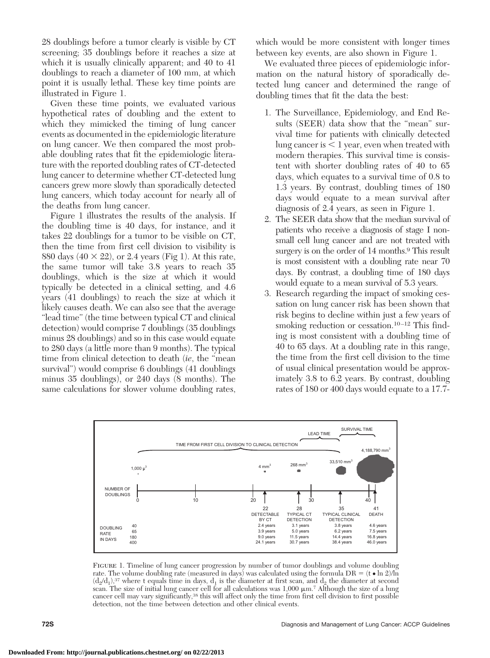28 doublings before a tumor clearly is visible by CT screening; 35 doublings before it reaches a size at which it is usually clinically apparent; and 40 to 41 doublings to reach a diameter of 100 mm, at which point it is usually lethal. These key time points are illustrated in Figure 1.

Given these time points, we evaluated various hypothetical rates of doubling and the extent to which they mimicked the timing of lung cancer events as documented in the epidemiologic literature on lung cancer. We then compared the most probable doubling rates that fit the epidemiologic literature with the reported doubling rates of CT-detected lung cancer to determine whether CT-detected lung cancers grew more slowly than sporadically detected lung cancers, which today account for nearly all of the deaths from lung cancer.

Figure 1 illustrates the results of the analysis. If the doubling time is 40 days, for instance, and it takes 22 doublings for a tumor to be visible on CT, then the time from first cell division to visibility is 880 days  $(40 \times 22)$ , or 2.4 years (Fig 1). At this rate, the same tumor will take 3.8 years to reach 35 doublings, which is the size at which it would typically be detected in a clinical setting, and 4.6 years (41 doublings) to reach the size at which it likely causes death. We can also see that the average "lead time" (the time between typical CT and clinical detection) would comprise 7 doublings (35 doublings minus 28 doublings) and so in this case would equate to 280 days (a little more than 9 months). The typical time from clinical detection to death (*ie*, the "mean survival") would comprise 6 doublings (41 doublings minus 35 doublings), or 240 days (8 months). The same calculations for slower volume doubling rates,

which would be more consistent with longer times between key events, are also shown in Figure 1.

We evaluated three pieces of epidemiologic information on the natural history of sporadically detected lung cancer and determined the range of doubling times that fit the data the best:

- 1. The Surveillance, Epidemiology, and End Results (SEER) data show that the "mean" survival time for patients with clinically detected  $\log$  cancer is  $\leq 1$  year, even when treated with modern therapies. This survival time is consistent with shorter doubling rates of 40 to 65 days, which equates to a survival time of 0.8 to 1.3 years. By contrast, doubling times of 180 days would equate to a mean survival after diagnosis of 2.4 years, as seen in Figure 1.
- 2. The SEER data show that the median survival of patients who receive a diagnosis of stage I nonsmall cell lung cancer and are not treated with surgery is on the order of 14 months.<sup>9</sup> This result is most consistent with a doubling rate near 70 days. By contrast, a doubling time of 180 days would equate to a mean survival of 5.3 years.
- 3. Research regarding the impact of smoking cessation on lung cancer risk has been shown that risk begins to decline within just a few years of smoking reduction or cessation.<sup>10-12</sup> This finding is most consistent with a doubling time of 40 to 65 days. At a doubling rate in this range, the time from the first cell division to the time of usual clinical presentation would be approximately 3.8 to 6.2 years. By contrast, doubling rates of 180 or 400 days would equate to a 17.7-



FIGURE 1. Timeline of lung cancer progression by number of tumor doublings and volume doubling rate. The volume doubling rate (measured in days) was calculated using the formula DR =  $(t \cdot \ln 2)/\ln$  $(d_2/d_1)^{37}$  where t equals time in days,  $d_1$  is the diameter at first scan, and  $d_2$  the diameter at second scan. The size of initial lung cancer cell for all calculations was  $1,000 \mu m$ .<sup>7</sup> Although the size of a lung cancer cell may vary significantly,38 this will affect only the time from first cell division to first possible detection, not the time between detection and other clinical events.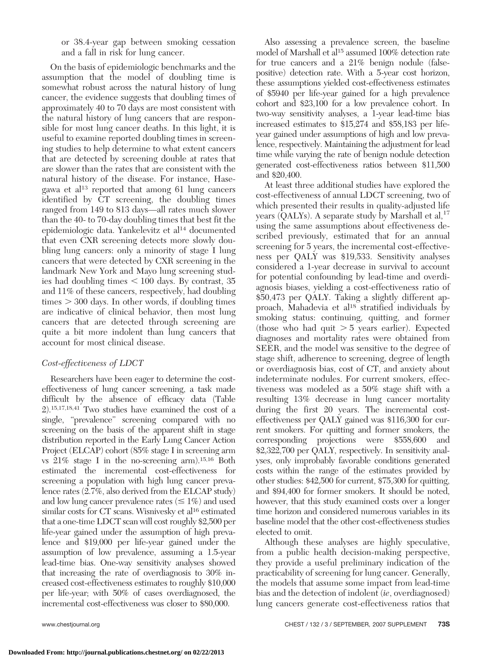or 38.4-year gap between smoking cessation and a fall in risk for lung cancer.

On the basis of epidemiologic benchmarks and the assumption that the model of doubling time is somewhat robust across the natural history of lung cancer, the evidence suggests that doubling times of approximately 40 to 70 days are most consistent with the natural history of lung cancers that are responsible for most lung cancer deaths. In this light, it is useful to examine reported doubling times in screening studies to help determine to what extent cancers that are detected by screening double at rates that are slower than the rates that are consistent with the natural history of the disease. For instance, Hasegawa et al13 reported that among 61 lung cancers identified by CT screening, the doubling times ranged from 149 to 813 days—all rates much slower than the 40- to 70-day doubling times that best fit the epidemiologic data. Yankelevitz et al14 documented that even CXR screening detects more slowly doubling lung cancers: only a minority of stage I lung cancers that were detected by CXR screening in the landmark New York and Mayo lung screening studies had doubling times  $\leq 100$  days. By contrast, 35 and 11% of these cancers, respectively, had doubling  $times > 300$  days. In other words, if doubling times are indicative of clinical behavior, then most lung cancers that are detected through screening are quite a bit more indolent than lung cancers that account for most clinical disease.

# *Cost-effectiveness of LDCT*

Researchers have been eager to determine the costeffectiveness of lung cancer screening, a task made difficult by the absence of efficacy data (Table 2).15,17,18,41 Two studies have examined the cost of a single, "prevalence" screening compared with no screening on the basis of the apparent shift in stage distribution reported in the Early Lung Cancer Action Project (ELCAP) cohort (85% stage I in screening arm vs 21% stage I in the no-screening arm).15,16 Both estimated the incremental cost-effectiveness for screening a population with high lung cancer prevalence rates (2.7%, also derived from the ELCAP study) and low lung cancer prevalence rates  $(\leq 1\%)$  and used similar costs for  $CT$  scans. Wisnivesky et al<sup>16</sup> estimated that a one-time LDCT scan will cost roughly \$2,500 per life-year gained under the assumption of high prevalence and \$19,000 per life-year gained under the assumption of low prevalence, assuming a 1.5-year lead-time bias. One-way sensitivity analyses showed that increasing the rate of overdiagnosis to 30% increased cost-effectiveness estimates to roughly \$10,000 per life-year; with 50% of cases overdiagnosed, the incremental cost-effectiveness was closer to \$80,000.

Also assessing a prevalence screen, the baseline model of Marshall et al<sup>15</sup> assumed 100% detection rate for true cancers and a 21% benign nodule (falsepositive) detection rate. With a 5-year cost horizon, these assumptions yielded cost-effectiveness estimates of \$5940 per life-year gained for a high prevalence cohort and \$23,100 for a low prevalence cohort. In two-way sensitivity analyses, a 1-year lead-time bias increased estimates to \$15,274 and \$58,183 per lifeyear gained under assumptions of high and low prevalence, respectively. Maintaining the adjustment for lead time while varying the rate of benign nodule detection generated cost-effectiveness ratios between \$11,500 and \$20,400.

At least three additional studies have explored the cost-effectiveness of annual LDCT screening, two of which presented their results in quality-adjusted life years (QALYs). A separate study by Marshall et al,<sup>17</sup> using the same assumptions about effectiveness described previously, estimated that for an annual screening for 5 years, the incremental cost-effectiveness per QALY was \$19,533. Sensitivity analyses considered a 1-year decrease in survival to account for potential confounding by lead-time and overdiagnosis biases, yielding a cost-effectiveness ratio of \$50,473 per QALY. Taking a slightly different approach, Mahadevia et al<sup>18</sup> stratified individuals by smoking status: continuing, quitting, and former (those who had quit  $> 5$  years earlier). Expected diagnoses and mortality rates were obtained from SEER, and the model was sensitive to the degree of stage shift, adherence to screening, degree of length or overdiagnosis bias, cost of CT, and anxiety about indeterminate nodules. For current smokers, effectiveness was modeled as a 50% stage shift with a resulting 13% decrease in lung cancer mortality during the first 20 years. The incremental costeffectiveness per QALY gained was \$116,300 for current smokers. For quitting and former smokers, the corresponding projections were \$558,600 and \$2,322,700 per QALY, respectively. In sensitivity analyses, only improbably favorable conditions generated costs within the range of the estimates provided by other studies: \$42,500 for current, \$75,300 for quitting, and \$94,400 for former smokers. It should be noted, however, that this study examined costs over a longer time horizon and considered numerous variables in its baseline model that the other cost-effectiveness studies elected to omit.

Although these analyses are highly speculative, from a public health decision-making perspective, they provide a useful preliminary indication of the practicability of screening for lung cancer. Generally, the models that assume some impact from lead-time bias and the detection of indolent (*ie*, overdiagnosed) lung cancers generate cost-effectiveness ratios that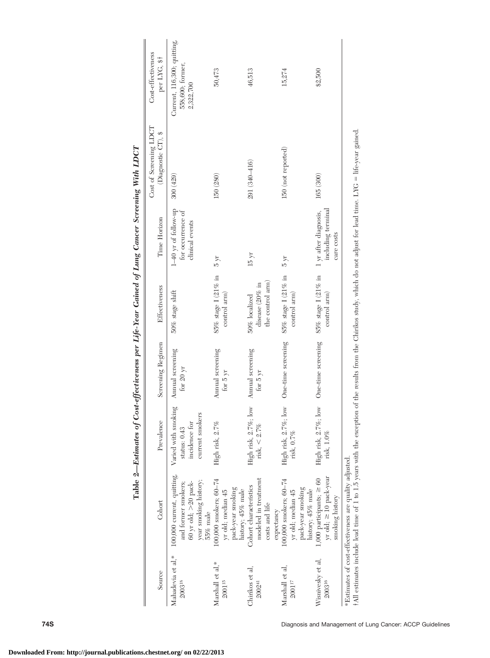| Source                           | Cohort                                                                                                                                                                                                                                | Prevalence                                                                | Screening Regimen                       | Effectiveness                                        | Time Horizon                                                 | Cost of Screening LDCT<br>(Diagnostic CT), \$ | Cost-effectiveness<br>per LYG, \$                            |
|----------------------------------|---------------------------------------------------------------------------------------------------------------------------------------------------------------------------------------------------------------------------------------|---------------------------------------------------------------------------|-----------------------------------------|------------------------------------------------------|--------------------------------------------------------------|-----------------------------------------------|--------------------------------------------------------------|
| Mahadevia et al.*<br>$2003^{18}$ | 100,000 current, quitting,<br>year smoking history;<br>60 yr old; $>20$ pack-<br>and former smokers;<br>$55\%$ male                                                                                                                   | Varied with smoking<br>current smokers<br>incidence for<br>status: $0.43$ | Annual screening<br>for $20 \text{ yr}$ | 50% stage shift                                      | 1-40 yr of follow-up<br>for occurrence of<br>clinical events | 300(429)                                      | Current, 116,300; quitting,<br>558,600; former,<br>2,322,700 |
| Marshall et al,*<br>200115       | $100,000$ smokers; $60-74$<br>pack-year smoking<br>history; 45% male<br>yr old; median 45                                                                                                                                             | High risk, 2.7%                                                           | Annual screening<br>for 5 $\rm{yr}$     | 85% stage I (21% in<br>control arm)                  | $5y$ r                                                       | 150 (280)                                     | 50,473                                                       |
| Chirikos et al,<br>200241        | modeled in treatment<br>Cohort characteristics<br>costs and life                                                                                                                                                                      | High risk, 2.7%; low<br>risk, $< 2.7\%$                                   | Annual screening<br>for 5 $\rm{yr}$     | the control arm)<br>disease (20% in<br>50% localized | $15\ \mathrm{yr}$                                            | 291 (340-416)                                 | 46,513                                                       |
| Marshall et al,<br>$2001^{17}$   | 100,000 smokers; 60-74<br>pack-year smoking<br>history; 45% male<br>yr old; median 45<br>expectancy                                                                                                                                   | High risk, 2.7%; low<br>risk, 0.7%                                        | One-time screening                      | 85% stage I (21% in<br>control arm)                  | $5\,\mathrm{yr}$                                             | 150 (not reported)                            | 15,274                                                       |
| Wisnivesky et al,<br>200316      | yr old; ≥ 10 pack-year<br>$1,000$ participants; $\geq 60$<br>smoking history                                                                                                                                                          | risk, 1.0%                                                                | High risk, 2.7%; low One-time screening | $85\%$ stage I $(21\%$ in<br>control arm)            | including terminal<br>1 yr after diagnosis,<br>care costs    | 165 (300)                                     | \$2,500                                                      |
|                                  | $+$ All estimates include lead time of 1 to 1.5 years with the exception of the results from the Chirikos study, which do not adjust for lead time. LYG = life-year gained.<br>*Estimates of cost-effectiveness are quality adjusted. |                                                                           |                                         |                                                      |                                                              |                                               |                                                              |

Table 2–Estimates of Cost-effectiveness per Life-Year Gained of Lung Cancer Screening With LDCT Table 2—Estimates of Cost-effectiveness per Life-Year Gained of Lung Cancer Screening With LDCT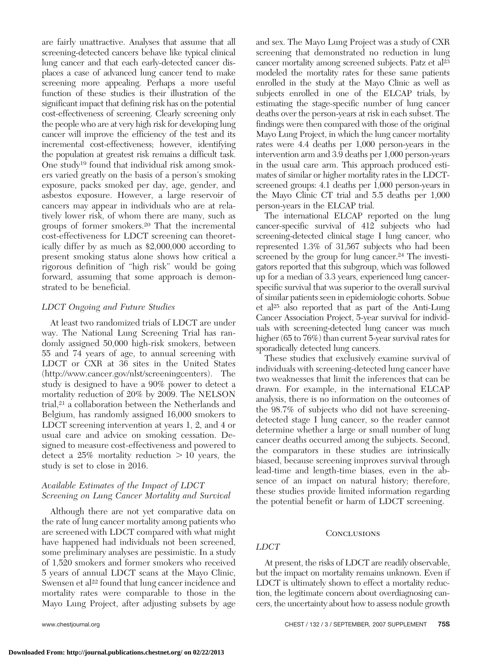are fairly unattractive. Analyses that assume that all screening-detected cancers behave like typical clinical lung cancer and that each early-detected cancer displaces a case of advanced lung cancer tend to make screening more appealing. Perhaps a more useful function of these studies is their illustration of the significant impact that defining risk has on the potential cost-effectiveness of screening. Clearly screening only the people who are at very high risk for developing lung cancer will improve the efficiency of the test and its incremental cost-effectiveness; however, identifying the population at greatest risk remains a difficult task. One study19 found that individual risk among smokers varied greatly on the basis of a person's smoking exposure, packs smoked per day, age, gender, and asbestos exposure. However, a large reservoir of cancers may appear in individuals who are at relatively lower risk, of whom there are many, such as groups of former smokers.20 That the incremental cost-effectiveness for LDCT screening can theoretically differ by as much as \$2,000,000 according to present smoking status alone shows how critical a rigorous definition of "high risk" would be going forward, assuming that some approach is demonstrated to be beneficial.

# *LDCT Ongoing and Future Studies*

At least two randomized trials of LDCT are under way. The National Lung Screening Trial has randomly assigned 50,000 high-risk smokers, between 55 and 74 years of age, to annual screening with LDCT or CXR at 36 sites in the United States (http://www.cancer.gov/nlst/screeningcenters). The study is designed to have a 90% power to detect a mortality reduction of 20% by 2009. The NELSON trial,21 a collaboration between the Netherlands and Belgium, has randomly assigned 16,000 smokers to LDCT screening intervention at years 1, 2, and 4 or usual care and advice on smoking cessation. Designed to measure cost-effectiveness and powered to detect a  $25\%$  mortality reduction  $> 10$  years, the study is set to close in 2016.

# *Available Estimates of the Impact of LDCT Screening on Lung Cancer Mortality and Survival*

Although there are not yet comparative data on the rate of lung cancer mortality among patients who are screened with LDCT compared with what might have happened had individuals not been screened, some preliminary analyses are pessimistic. In a study of 1,520 smokers and former smokers who received 5 years of annual LDCT scans at the Mayo Clinic, Swensen et al<sup>22</sup> found that lung cancer incidence and mortality rates were comparable to those in the Mayo Lung Project, after adjusting subsets by age

and sex. The Mayo Lung Project was a study of CXR screening that demonstrated no reduction in lung cancer mortality among screened subjects. Patz et al<sup>23</sup> modeled the mortality rates for these same patients enrolled in the study at the Mayo Clinic as well as subjects enrolled in one of the ELCAP trials, by estimating the stage-specific number of lung cancer deaths over the person-years at risk in each subset. The findings were then compared with those of the original Mayo Lung Project, in which the lung cancer mortality rates were 4.4 deaths per 1,000 person-years in the intervention arm and 3.9 deaths per 1,000 person-years in the usual care arm. This approach produced estimates of similar or higher mortality rates in the LDCTscreened groups: 4.1 deaths per 1,000 person-years in the Mayo Clinic CT trial and 5.5 deaths per 1,000 person-years in the ELCAP trial.

The international ELCAP reported on the lung cancer-specific survival of 412 subjects who had screening-detected clinical stage I lung cancer, who represented 1.3% of 31,567 subjects who had been screened by the group for lung cancer. $24$  The investigators reported that this subgroup, which was followed up for a median of 3.3 years, experienced lung cancerspecific survival that was superior to the overall survival of similar patients seen in epidemiologic cohorts. Sobue et al<sup>25</sup> also reported that as part of the Anti-Lung Cancer Association Project, 5-year survival for individuals with screening-detected lung cancer was much higher (65 to 76%) than current 5-year survival rates for sporadically detected lung cancers.

These studies that exclusively examine survival of individuals with screening-detected lung cancer have two weaknesses that limit the inferences that can be drawn. For example, in the international ELCAP analysis, there is no information on the outcomes of the 98.7% of subjects who did not have screeningdetected stage I lung cancer, so the reader cannot determine whether a large or small number of lung cancer deaths occurred among the subjects. Second, the comparators in these studies are intrinsically biased, because screening improves survival through lead-time and length-time biases, even in the absence of an impact on natural history; therefore, these studies provide limited information regarding the potential benefit or harm of LDCT screening.

## **CONCLUSIONS**

# *LDCT*

At present, the risks of LDCT are readily observable, but the impact on mortality remains unknown. Even if LDCT is ultimately shown to effect a mortality reduction, the legitimate concern about overdiagnosing cancers, the uncertainty about how to assess nodule growth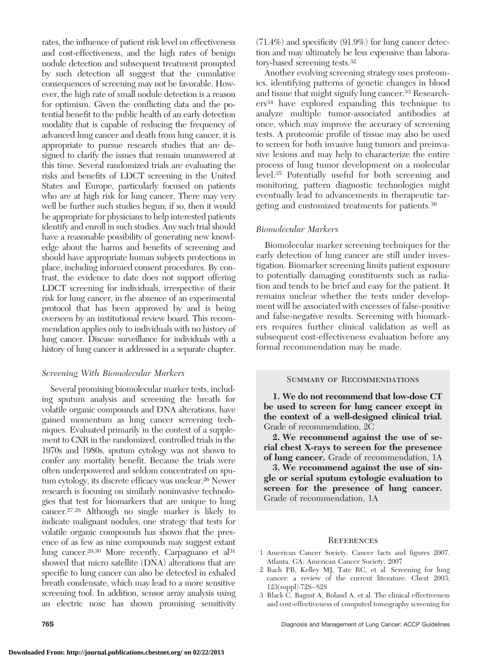rates, the influence of patient risk level on effectiveness and cost-effectiveness, and the high rates of benign nodule detection and subsequent treatment prompted by such detection all suggest that the cumulative consequences of screening may not be favorable. However, the high rate of small nodule detection is a reason for optimism. Given the conflicting data and the potential benefit to the public health of an early detection modality that is capable of reducing the frequency of advanced lung cancer and death from lung cancer, it is appropriate to pursue research studies that are designed to clarify the issues that remain unanswered at this time. Several randomized trials are evaluating the risks and benefits of LDCT screening in the United States and Europe, particularly focused on patients who are at high risk for lung cancer. There may very well be further such studies begun; if so, then it would be appropriate for physicians to help interested patients identify and enroll in such studies. Any such trial should have a reasonable possibility of generating new knowledge about the harms and benefits of screening and should have appropriate human subjects protections in place, including informed consent procedures. By contrast, the evidence to date does not support offering LDCT screening for individuals, irrespective of their risk for lung cancer, in the absence of an experimental protocol that has been approved by and is being overseen by an institutional review board. This recommendation applies only to individuals with no history of lung cancer. Disease surveillance for individuals with a history of lung cancer is addressed in a separate chapter.

## *Screening With Biomolecular Markers*

Several promising biomolecular marker tests, including sputum analysis and screening the breath for volatile organic compounds and DNA alterations, have gained momentum as lung cancer screening techniques. Evaluated primarily in the context of a supplement to CXR in the randomized, controlled trials in the 1970s and 1980s, sputum cytology was not shown to confer any mortality benefit. Because the trials were often underpowered and seldom concentrated on sputum cytology, its discrete efficacy was unclear.26 Newer research is focusing on similarly noninvasive technologies that test for biomarkers that are unique to lung cancer.27,28 Although no single marker is likely to indicate malignant nodules, one strategy that tests for volatile organic compounds has shown that the presence of as few as nine compounds may suggest extant lung cancer.<sup>29,30</sup> More recently, Carpagnano et al<sup>31</sup> showed that micro satellite (DNA) alterations that are specific to lung cancer can also be detected in exhaled breath condensate, which may lead to a more sensitive screening tool. In addition, sensor array analysis using an electric nose has shown promising sensitivity (71.4%) and specificity (91.9%) for lung cancer detection and may ultimately be less expensive than laboratory-based screening tests.32

Another evolving screening strategy uses proteomics, identifying patterns of genetic changes in blood and tissue that might signify lung cancer.<sup>33</sup> Researchers34 have explored expanding this technique to analyze multiple tumor-associated antibodies at once, which may improve the accuracy of screening tests. A proteomic profile of tissue may also be used to screen for both invasive lung tumors and preinvasive lesions and may help to characterize the entire process of lung tumor development on a molecular level.35 Potentially useful for both screening and monitoring, pattern diagnostic technologies might eventually lead to advancements in therapeutic targeting and customized treatments for patients.36

# *Biomolecular Markers*

Biomolecular marker screening techniques for the early detection of lung cancer are still under investigation. Biomarker screening limits patient exposure to potentially damaging constituents such as radiation and tends to be brief and easy for the patient. It remains unclear whether the tests under development will be associated with excesses of false-positive and false-negative results. Screening with biomarkers requires further clinical validation as well as subsequent cost-effectiveness evaluation before any formal recommendation may be made.

# Summary of Recommendations

**1. We do not recommend that low-dose CT be used to screen for lung cancer except in the context of a well-designed clinical trial.** Grade of recommendation, 2C

**2. We recommend against the use of serial chest X-rays to screen for the presence of lung cancer.** Grade of recommendation, 1A

**3. We recommend against the use of single or serial sputum cytologic evaluation to screen for the presence of lung cancer.** Grade of recommendation, 1A

## **REFERENCES**

- 1 American Cancer Society. Cancer facts and figures 2007. Atlanta, GA: American Cancer Society, 2007
- 2 Bach PB, Kelley MJ, Tate RC, et al. Screening for lung cancer: a review of the current literature. Chest 2003; 123(suppl):72S– 82S
- 3 Black C, Bagust A, Boland A, et al. The clinical effectiveness and cost-effectiveness of computed tomography screening for